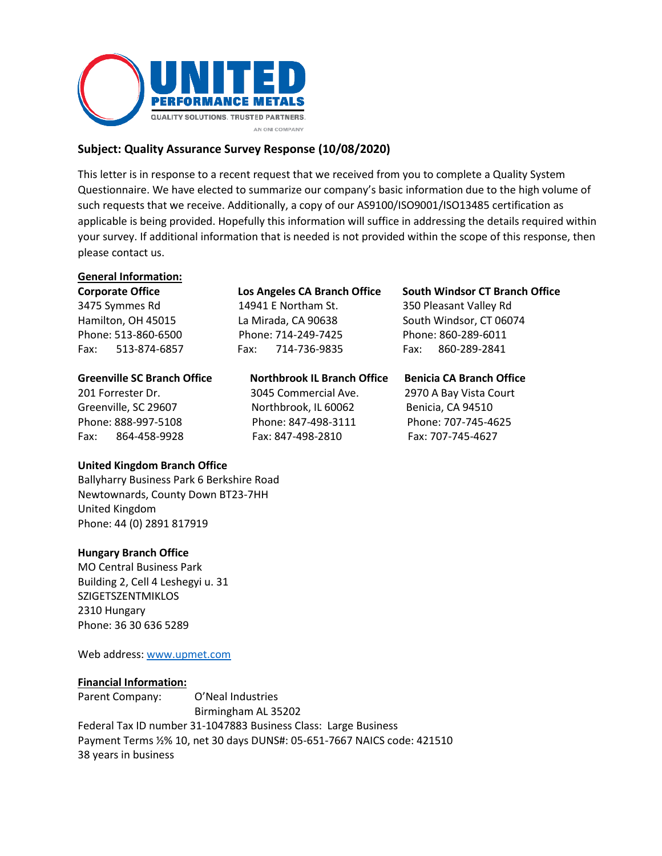

# **Subject: Quality Assurance Survey Response (10/08/2020)**

This letter is in response to a recent request that we received from you to complete a Quality System Questionnaire. We have elected to summarize our company's basic information due to the high volume of such requests that we receive. Additionally, a copy of our AS9100/ISO9001/ISO13485 certification as applicable is being provided. Hopefully this information will suffice in addressing the details required within your survey. If additional information that is needed is not provided within the scope of this response, then please contact us.

# **General Information:**

| <b>Corporate Office</b>            | Los Angeles CA Branch Office       | <b>South Windsor CT Branch Office</b> |
|------------------------------------|------------------------------------|---------------------------------------|
| 3475 Symmes Rd                     | 14941 E Northam St.                | 350 Pleasant Valley Rd                |
| Hamilton, OH 45015                 | La Mirada, CA 90638                | South Windsor, CT 06074               |
| Phone: 513-860-6500                | Phone: 714-249-7425                | Phone: 860-289-6011                   |
| Fax: 513-874-6857                  | 714-736-9835<br>Fax:               | 860-289-2841<br>Fax:                  |
| <b>Greenville SC Branch Office</b> | <b>Northbrook IL Branch Office</b> | <b>Benicia CA Branch Office</b>       |
| 201 Forrester Dr.                  | 3045 Commercial Ave.               | 2970 A Bay Vista Court                |
| Greenville, SC 29607               | Northbrook, IL 60062               | Benicia, CA 94510                     |
|                                    |                                    |                                       |
| Phone: 888-997-5108                | Phone: 847-498-3111                | Phone: 707-745-4625                   |

#### **United Kingdom Branch Office**

Ballyharry Business Park 6 Berkshire Road Newtownards, County Down BT23-7HH United Kingdom Phone: 44 (0) 2891 817919

#### **Hungary Branch Office**

MO Central Business Park Building 2, Cell 4 Leshegyi u. 31 **SZIGETSZENTMIKLOS** 2310 Hungary Phone: 36 30 636 5289

Web address[: www.upmet.com](http://www.upmet.com/)

#### **Financial Information:**

Parent Company: O'Neal Industries Birmingham AL 35202 Federal Tax ID number 31-1047883 Business Class: Large Business Payment Terms ½% 10, net 30 days DUNS#: 05-651-7667 NAICS code: 421510 38 years in business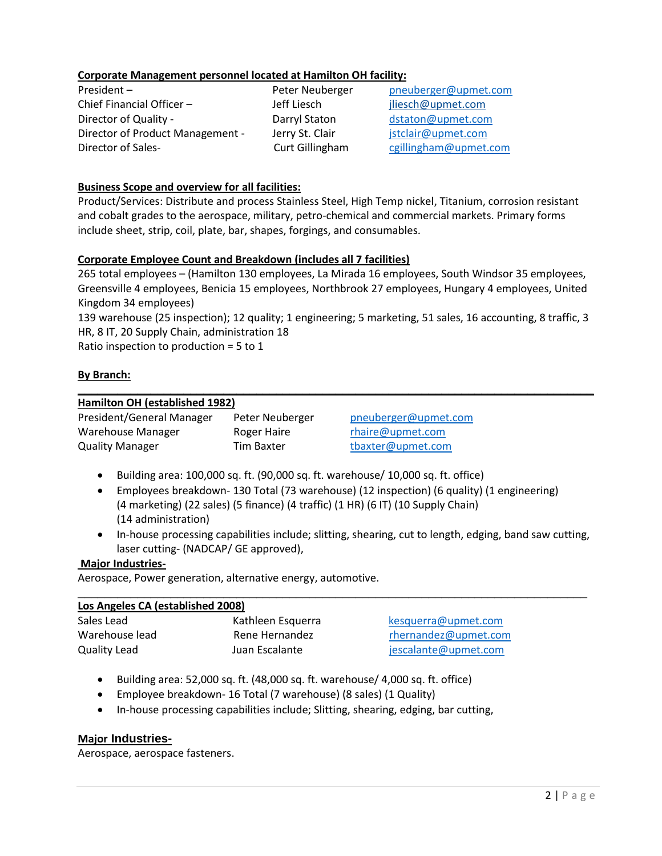# **Corporate Management personnel located at Hamilton OH facility:**

Chief Financial Officer – The Jeff Liesch and Siliesch bliesch in the Siliesch must be died vertice on Director of Quality - The Darryl Staton density and distaton distaton density of Quality -Director of Product Management - Jerry St. Clair  $\qquad \qquad$  [jstclair@upmet.com](mailto:jstclair@upmet.com) Director of Sales- Curt Gillingham [cgillingham@upmet.com](mailto:cgillingham@upmet.com)

President – Peter Neuberger [pneuberger@upmet.com](mailto:pneuberger@upmet.com)

# **Business Scope and overview for all facilities:**

Product/Services: Distribute and process Stainless Steel, High Temp nickel, Titanium, corrosion resistant and cobalt grades to the aerospace, military, petro-chemical and commercial markets. Primary forms include sheet, strip, coil, plate, bar, shapes, forgings, and consumables.

# **Corporate Employee Count and Breakdown (includes all 7 facilities)**

265 total employees – (Hamilton 130 employees, La Mirada 16 employees, South Windsor 35 employees, Greensville 4 employees, Benicia 15 employees, Northbrook 27 employees, Hungary 4 employees, United Kingdom 34 employees)

139 warehouse (25 inspection); 12 quality; 1 engineering; 5 marketing, 51 sales, 16 accounting, 8 traffic, 3 HR, 8 IT, 20 Supply Chain, administration 18

**\_\_\_\_\_\_\_\_\_\_\_\_\_\_\_\_\_\_\_\_\_\_\_\_\_\_\_\_\_\_\_\_\_\_\_\_\_\_\_\_\_\_\_\_\_\_\_\_\_\_\_\_\_\_\_\_\_\_\_\_\_\_\_\_\_\_\_\_\_\_\_\_\_\_\_\_\_\_**

Ratio inspection to production = 5 to 1

# **By Branch:**

# **Hamilton OH (established 1982)**

| President/General Manager | Peter Neuberger |
|---------------------------|-----------------|
| Warehouse Manager         | Roger Haire     |
| <b>Quality Manager</b>    | Tim Baxter      |

[pneuberger@upmet.com](mailto:pneuberger@upmet.com) [rhaire@upmet.com](mailto:rhaire@upmet.com) [tbaxter@upmet.com](mailto:tbaxter@upmet.com)

- Building area: 100,000 sq. ft. (90,000 sq. ft. warehouse/ 10,000 sq. ft. office)
- Employees breakdown- 130 Total (73 warehouse) (12 inspection) (6 quality) (1 engineering) (4 marketing) (22 sales) (5 finance) (4 traffic) (1 HR) (6 IT) (10 Supply Chain) (14 administration)
- In-house processing capabilities include; slitting, shearing, cut to length, edging, band saw cutting, laser cutting- (NADCAP/ GE approved),

# **Major Industries-**

Aerospace, Power generation, alternative energy, automotive.

| Los Angeles CA (established 2008) |                   |                      |
|-----------------------------------|-------------------|----------------------|
| Sales Lead                        | Kathleen Esquerra | kesquerra@upmet.com  |
| Warehouse lead                    | Rene Hernandez    | rhernandez@upmet.com |
| <b>Quality Lead</b>               | Juan Escalante    | jescalante@upmet.com |

- Building area: 52,000 sq. ft. (48,000 sq. ft. warehouse/ 4,000 sq. ft. office)
- Employee breakdown- 16 Total (7 warehouse) (8 sales) (1 Quality)
- In-house processing capabilities include; Slitting, shearing, edging, bar cutting,

# **Major Industries-**

Aerospace, aerospace fasteners.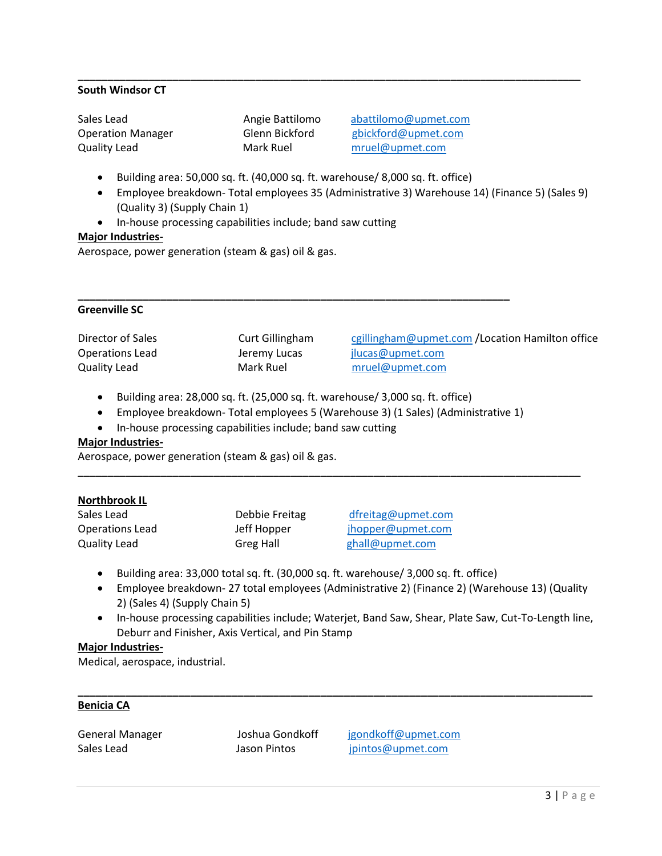# **South Windsor CT**

Sales Lead **Angie Battilomo** [abattilomo@upmet.com](mailto:abattilomo@upmet.com) Quality Lead Mark Ruel [mruel@upmet.com](mailto:mruel@upmet.com)

Operation Manager Glenn Bickford [gbickford@upmet.com](mailto:gbickford@upmet.com)

- Building area: 50,000 sq. ft. (40,000 sq. ft. warehouse/ 8,000 sq. ft. office)
- Employee breakdown- Total employees 35 (Administrative 3) Warehouse 14) (Finance 5) (Sales 9) (Quality 3) (Supply Chain 1)

**\_\_\_\_\_\_\_\_\_\_\_\_\_\_\_\_\_\_\_\_\_\_\_\_\_\_\_\_\_\_\_\_\_\_\_\_\_\_\_\_\_\_\_\_\_\_\_\_\_\_\_\_\_\_\_\_\_\_\_\_\_\_\_\_\_\_\_\_\_\_\_\_\_\_\_\_\_\_\_\_\_\_\_\_\_**

• In-house processing capabilities include; band saw cutting

## **Major Industries-**

Aerospace, power generation (steam & gas) oil & gas.

## **Greenville SC**

Director of Sales Curt Gillingham [cgillingham@upmet.com](mailto:cgillingham@upmet.com) / Location Hamilton office Operations Lead **Jeremy Lucas** [jlucas@upmet.com](mailto:jlucas@upmet.com) Quality Lead Mark Ruel [mruel@upmet.com](mailto:mruel@upmet.com)

• Building area: 28,000 sq. ft. (25,000 sq. ft. warehouse/ 3,000 sq. ft. office)

**\_\_\_\_\_\_\_\_\_\_\_\_\_\_\_\_\_\_\_\_\_\_\_\_\_\_\_\_\_\_\_\_\_\_\_\_\_\_\_\_\_\_\_\_\_\_\_\_\_\_\_\_\_\_\_\_\_\_\_\_\_\_\_\_\_\_\_\_\_\_\_\_\_**

• Employee breakdown- Total employees 5 (Warehouse 3) (1 Sales) (Administrative 1)

**\_\_\_\_\_\_\_\_\_\_\_\_\_\_\_\_\_\_\_\_\_\_\_\_\_\_\_\_\_\_\_\_\_\_\_\_\_\_\_\_\_\_\_\_\_\_\_\_\_\_\_\_\_\_\_\_\_\_\_\_\_\_\_\_\_\_\_\_\_\_\_\_\_\_\_\_\_\_\_\_\_\_\_\_\_**

• In-house processing capabilities include; band saw cutting

# **Major Industries-**

Aerospace, power generation (steam & gas) oil & gas.

#### **Northbrook IL**

| Sales Lead      | Debbie Freitag   |
|-----------------|------------------|
| Operations Lead | Jeff Hopper      |
| Quality Lead    | <b>Greg Hall</b> |

[dfreitag@upmet.com](mailto:dfreitag@upmet.com) [jhopper@upmet.com](mailto:jhopper@upmet.com) [ghall@upmet.com](mailto:ghall@upmet.com)

- Building area: 33,000 total sq. ft. (30,000 sq. ft. warehouse/ 3,000 sq. ft. office)
- Employee breakdown- 27 total employees (Administrative 2) (Finance 2) (Warehouse 13) (Quality 2) (Sales 4) (Supply Chain 5)
- In-house processing capabilities include; Waterjet, Band Saw, Shear, Plate Saw, Cut-To-Length line, Deburr and Finisher, Axis Vertical, and Pin Stamp

**\_\_\_\_\_\_\_\_\_\_\_\_\_\_\_\_\_\_\_\_\_\_\_\_\_\_\_\_\_\_\_\_\_\_\_\_\_\_\_\_\_\_\_\_\_\_\_\_\_\_\_\_\_\_\_\_\_\_\_\_\_\_\_\_\_\_\_\_\_\_\_\_\_\_\_\_\_\_\_\_\_\_\_\_\_\_\_**

## **Major Industries-**

Medical, aerospace, industrial.

#### **Benicia CA**

General Manager Manager Joshua Gondkoff igondkoff@upmet.com Sales Lead **Jason Pintos Jason Pintos [jpintos@upmet.com](mailto:jpintos@upmet.com)**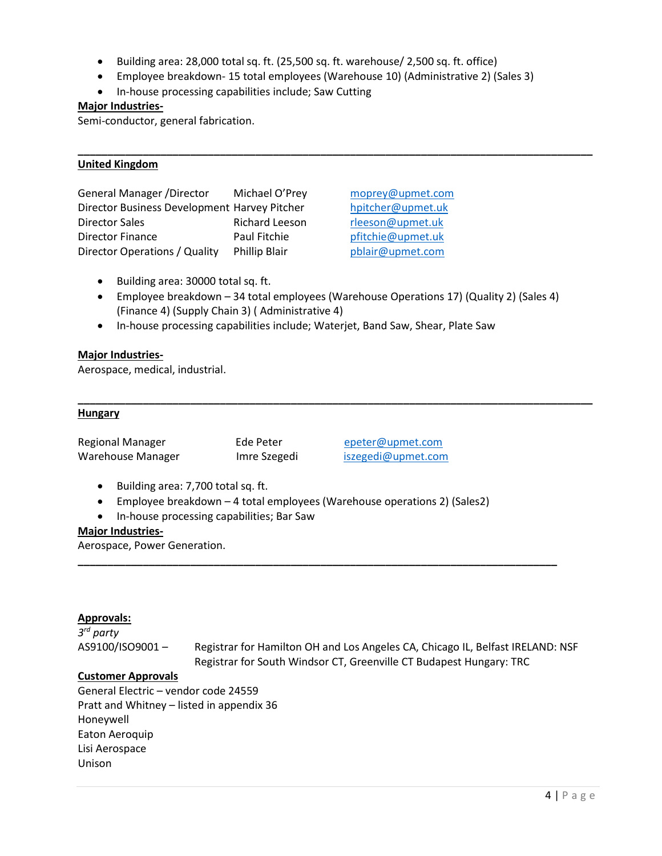- Building area: 28,000 total sq. ft. (25,500 sq. ft. warehouse/ 2,500 sq. ft. office)
- Employee breakdown- 15 total employees (Warehouse 10) (Administrative 2) (Sales 3)

**\_\_\_\_\_\_\_\_\_\_\_\_\_\_\_\_\_\_\_\_\_\_\_\_\_\_\_\_\_\_\_\_\_\_\_\_\_\_\_\_\_\_\_\_\_\_\_\_\_\_\_\_\_\_\_\_\_\_\_\_\_\_\_\_\_\_\_\_\_\_\_\_\_\_\_\_\_\_\_\_\_\_\_\_\_\_\_**

• In-house processing capabilities include; Saw Cutting

## **Major Industries-**

Semi-conductor, general fabrication.

## **United Kingdom**

| <b>General Manager /Director</b>             | Michael O'Prey        |
|----------------------------------------------|-----------------------|
| Director Business Development Harvey Pitcher |                       |
| <b>Director Sales</b>                        | <b>Richard Leeson</b> |
| Director Finance                             | Paul Fitchie          |
| Director Operations / Quality                | <b>Phillip Blair</b>  |

[moprey@upmet.com](mailto:moprey@upmet.com) [hpitcher@upmet.uk](mailto:hpitcher@upmet.uk) [rleeson@upmet.uk](mailto:rleeson@upmet.uk) [pfitchie@upmet.uk](mailto:pfitchie@upmet.uk) [pblair@upmet.com](mailto:pblair@upmet.com)

- Building area: 30000 total sq. ft.
- Employee breakdown 34 total employees (Warehouse Operations 17) (Quality 2) (Sales 4) (Finance 4) (Supply Chain 3) ( Administrative 4)

**\_\_\_\_\_\_\_\_\_\_\_\_\_\_\_\_\_\_\_\_\_\_\_\_\_\_\_\_\_\_\_\_\_\_\_\_\_\_\_\_\_\_\_\_\_\_\_\_\_\_\_\_\_\_\_\_\_\_\_\_\_\_\_\_\_\_\_\_\_\_\_\_\_\_\_\_\_\_\_\_\_\_\_\_\_\_\_**

• In-house processing capabilities include; Waterjet, Band Saw, Shear, Plate Saw

## **Major Industries-**

Aerospace, medical, industrial.

## **Hungary**

| <b>Regional Manager</b> |  |
|-------------------------|--|
| Warehouse Manager       |  |

Ede Peter [epeter@upmet.com](mailto:epeter@upmet.com) Imre Szegedi [iszegedi@upmet.com](mailto:iszegedi@upmet.com)

- Building area: 7,700 total sq. ft.
- Employee breakdown 4 total employees (Warehouse operations 2) (Sales2)
- In-house processing capabilities; Bar Saw

## **Major Industries-**

Aerospace, Power Generation.

#### **Approvals:**

*3 rd party* AS9100/ISO9001 – Registrar for Hamilton OH and Los Angeles CA, Chicago IL, Belfast IRELAND: NSF Registrar for South Windsor CT, Greenville CT Budapest Hungary: TRC

**\_\_\_\_\_\_\_\_\_\_\_\_\_\_\_\_\_\_\_\_\_\_\_\_\_\_\_\_\_\_\_\_\_\_\_\_\_\_\_\_\_\_\_\_\_\_\_\_\_\_\_\_\_\_\_\_\_\_\_\_\_\_\_\_\_\_\_\_\_\_\_\_\_\_\_\_\_\_\_\_\_**

#### **Customer Approvals**

General Electric – vendor code 24559 Pratt and Whitney – listed in appendix 36 Honeywell Eaton Aeroquip Lisi Aerospace Unison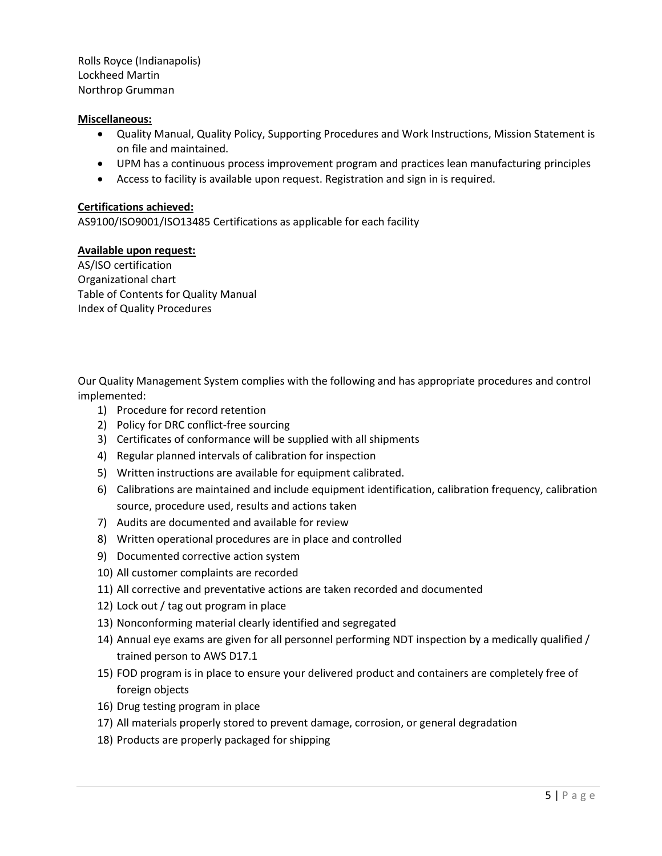Rolls Royce (Indianapolis) Lockheed Martin Northrop Grumman

# **Miscellaneous:**

- Quality Manual, Quality Policy, Supporting Procedures and Work Instructions, Mission Statement is on file and maintained.
- UPM has a continuous process improvement program and practices lean manufacturing principles
- Access to facility is available upon request. Registration and sign in is required.

## **Certifications achieved:**

AS9100/ISO9001/ISO13485 Certifications as applicable for each facility

## **Available upon request:**

AS/ISO certification Organizational chart Table of Contents for Quality Manual Index of Quality Procedures

Our Quality Management System complies with the following and has appropriate procedures and control implemented:

- 1) Procedure for record retention
- 2) Policy for DRC conflict-free sourcing
- 3) Certificates of conformance will be supplied with all shipments
- 4) Regular planned intervals of calibration for inspection
- 5) Written instructions are available for equipment calibrated.
- 6) Calibrations are maintained and include equipment identification, calibration frequency, calibration source, procedure used, results and actions taken
- 7) Audits are documented and available for review
- 8) Written operational procedures are in place and controlled
- 9) Documented corrective action system
- 10) All customer complaints are recorded
- 11) All corrective and preventative actions are taken recorded and documented
- 12) Lock out / tag out program in place
- 13) Nonconforming material clearly identified and segregated
- 14) Annual eye exams are given for all personnel performing NDT inspection by a medically qualified / trained person to AWS D17.1
- 15) FOD program is in place to ensure your delivered product and containers are completely free of foreign objects
- 16) Drug testing program in place
- 17) All materials properly stored to prevent damage, corrosion, or general degradation
- 18) Products are properly packaged for shipping